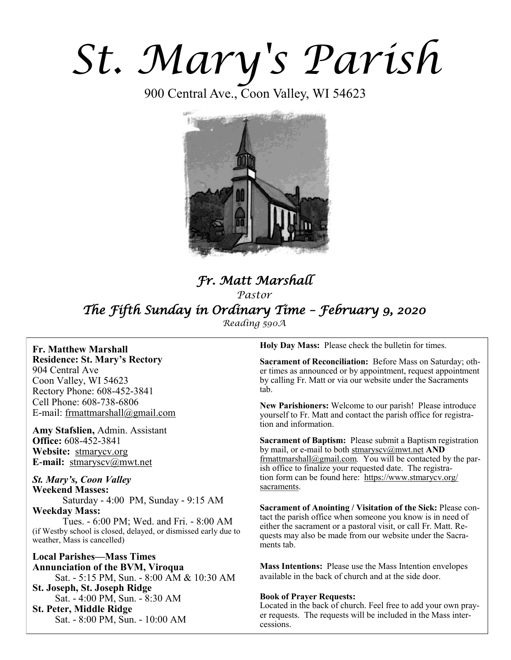# *St. Mary's Parish*

900 Central Ave., Coon Valley, WI 54623



# *Fr. Matt Marshall Pastor The Fifth Sunday in Ordinary Time – February 9, 2020 Reading 590A*

**Fr. Matthew Marshall Residence: St. Mary's Rectory** 904 Central Ave Coon Valley, WI 54623 Rectory Phone: 608-452-3841 Cell Phone: 608-738-6806 E-mail: [frmattmarshall@gmail.com](mailto:frmattmarshall@gmail.com)

**Amy Stafslien,** Admin. Assistant **Office:** 608-452-3841 **Website:** <stmarycv.org> **E-mail:** [stmaryscv@mwt.net](mailto:stmaryscv@mwt.net)

*St. Mary's, Coon Valley*  **Weekend Masses:** Saturday - 4:00 PM, Sunday - 9:15 AM **Weekday Mass:** 

Tues. - 6:00 PM; Wed. and Fri. - 8:00 AM (if Westby school is closed, delayed, or dismissed early due to weather, Mass is cancelled)

**Local Parishes—Mass Times Annunciation of the BVM, Viroqua** Sat. - 5:15 PM, Sun. - 8:00 AM & 10:30 AM **St. Joseph, St. Joseph Ridge** Sat. - 4:00 PM, Sun. - 8:30 AM **St. Peter, Middle Ridge** Sat. - 8:00 PM, Sun. - 10:00 AM

**Holy Day Mass:** Please check the bulletin for times.

**Sacrament of Reconciliation:** Before Mass on Saturday; other times as announced or by appointment, request appointment by calling Fr. Matt or via our website under the Sacraments tab.

**New Parishioners:** Welcome to our parish! Please introduce yourself to Fr. Matt and contact the parish office for registration and information.

**Sacrament of Baptism:** Please submit a Baptism registration by mail, or e-mail to both [stmaryscv@mwt.net](mailto:stmaryscv@mwt.net) **AND** [frmattmarshall@gmail.com](mailto:frmattmarshall@gmail.com)*.* You will be contacted by the parish office to finalize your requested date. The registration form can be found here: [https://www.stmarycv.org/](https://www.stmarycv.org/sacraments) [sacraments.](https://www.stmarycv.org/sacraments) 

**Sacrament of Anointing / Visitation of the Sick:** Please contact the parish office when someone you know is in need of either the sacrament or a pastoral visit, or call Fr. Matt. Requests may also be made from our website under the Sacraments tab.

**Mass Intentions:** Please use the Mass Intention envelopes available in the back of church and at the side door.

#### **Book of Prayer Requests:**

Located in the back of church. Feel free to add your own prayer requests. The requests will be included in the Mass intercessions.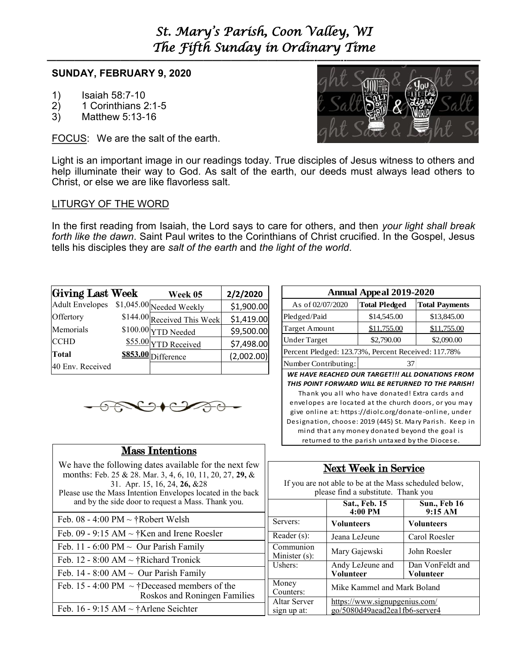# *St. Mary's Parish, Coon Valley, WI The Fifth Sunday in Ordinary Time*

### **SUNDAY, FEBRUARY 9, 2020**

- 1) Isaiah 58:7-10
- 2) 1 Corinthians 2:1-5
- 3) Matthew 5:13-16

FOCUS: We are the salt of the earth.



Light is an important image in our readings today. True disciples of Jesus witness to others and help illuminate their way to God. As salt of the earth, our deeds must always lead others to Christ, or else we are like flavorless salt.

### LITURGY OF THE WORD

In the first reading from Isaiah, the Lord says to care for others, and then *your light shall break forth like the dawn*. Saint Paul writes to the Corinthians of Christ crucified. In the Gospel, Jesus tells his disciples they are *salt of the earth* and *the light of the world*.

| <b>Giving Last Week</b>                  | Week 05                     | 2/2/2020   |
|------------------------------------------|-----------------------------|------------|
| Adult Envelopes \$1,045.00 Needed Weekly |                             | \$1,900.00 |
| Offertory                                | \$144.00 Received This Week | \$1,419.00 |
| Memorials                                | $$100.00 \rm{YTD}$ Needed   | \$9,500.00 |
| <b>CCHD</b>                              | \$55.00 YTD Received        | \$7,498.00 |
| <b>Total</b>                             | \$853.00 Difference         | (2,002.00) |
| 40 Env. Received                         |                             |            |



## Mass Intentions

We have the following dates available for the next few months: Feb. 25 & 28. Mar. 3, 4, 6, 10, 11, 20, 27, **29,** & 31. Apr. 15, 16, 24, **26,** &28 Please use the Mass Intention Envelopes located in the back and by the side door to request a Mass. Thank you.

Feb.  $08 - 4:00$  PM  $\sim \text{\textup{t}}$  Robert Welsh Feb. 09 - 9:15 AM  $\sim$  †Ken and Irene Roesler Feb. 11 - 6:00 PM  $\sim$  Our Parish Family Feb. 12 - 8:00 AM  $\sim$  †Richard Tronick Feb. 14 - 8:00 AM  $\sim$  Our Parish Family Feb. 15 - 4:00 PM  $\sim$  †Deceased members of the Roskos and Roningen Families Feb. 16 - 9:15 AM  $\sim$  †Arlene Seichter

| <b>Annual Appeal 2019-2020</b>                      |                      |                       |  |  |
|-----------------------------------------------------|----------------------|-----------------------|--|--|
| As of 02/07/2020                                    | <b>Total Pledged</b> | <b>Total Payments</b> |  |  |
| Pledged/Paid                                        | \$14,545.00          | \$13,845.00           |  |  |
| <b>Target Amount</b>                                | \$11,755.00          | \$11,755.00           |  |  |
| <b>Under Target</b>                                 | \$2,790.00           | \$2,090.00            |  |  |
| Percent Pledged: 123.73%, Percent Received: 117.78% |                      |                       |  |  |
| Number Contributing:                                |                      |                       |  |  |

*WE HAVE REACHED OUR TARGET!!! ALL DONATIONS FROM THIS POINT FORWARD WILL BE RETURNED TO THE PARISH!*  Thank you all who have donated! Extra cards and

envelopes are located at the church doors, or you may give online at: https://diolc.org/donate-online, under Designation, choose: 2019 (445) St. Mary Parish. Keep in mind that any money donated beyond the goal is returned to the parish untaxed by the Diocese.

# Next Week in Service

If you are not able to be at the Mass scheduled below, please find a substitute. Thank you

|                             | Sat., Feb. 15<br>4:00 PM                                       | <b>Sun., Feb 16</b><br>9:15 AM |
|-----------------------------|----------------------------------------------------------------|--------------------------------|
| Servers:                    | <b>Volunteers</b>                                              | <b>Volunteers</b>              |
| Reader (s):                 | Jeana LeJeune                                                  | Carol Roesler                  |
| Communion<br>Minister (s):  | Mary Gajewski                                                  | John Roesler                   |
| Ushers:                     | Andy LeJeune and<br><b>Volunteer</b>                           | Dan VonFeldt and<br>Volunteer  |
| Money<br>Counters:          | Mike Kammel and Mark Boland                                    |                                |
| Altar Server<br>sign up at: | https://www.signupgenius.com/<br>go/5080d49aead2ea1fb6-server4 |                                |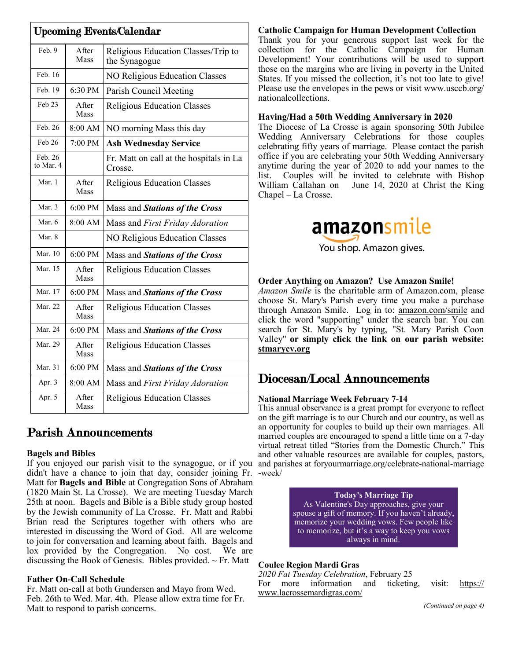| <b>Upcoming Events/Calendar</b> |                      |                                                      |  |
|---------------------------------|----------------------|------------------------------------------------------|--|
| Feb. 9                          | After<br>Mass        | Religious Education Classes/Trip to<br>the Synagogue |  |
| Feb. 16                         |                      | <b>NO Religious Education Classes</b>                |  |
| Feb. 19                         | 6:30 PM              | Parish Council Meeting                               |  |
| Feb 23                          | After<br><b>Mass</b> | <b>Religious Education Classes</b>                   |  |
| Feb. 26                         | 8:00 AM              | NO morning Mass this day                             |  |
| Feb 26                          | 7:00 PM              | <b>Ash Wednesday Service</b>                         |  |
| Feb. 26<br>to Mar. 4            |                      | Fr. Matt on call at the hospitals in La<br>Crosse.   |  |
| Mar. 1                          | After<br>Mass        | <b>Religious Education Classes</b>                   |  |
| Mar. 3                          | 6:00 PM              | Mass and Stations of the Cross                       |  |
| Mar. 6                          | 8:00 AM              | Mass and First Friday Adoration                      |  |
| Mar. 8                          |                      | NO Religious Education Classes                       |  |
| Mar. 10                         | 6:00 PM              | Mass and Stations of the Cross                       |  |
| Mar. 15                         | After<br>Mass        | Religious Education Classes                          |  |
| Mar. 17                         | 6:00 PM              | Mass and Stations of the Cross                       |  |
| Mar. 22                         | After<br>Mass        | Religious Education Classes                          |  |
| Mar. 24                         | 6:00 PM              | Mass and Stations of the Cross                       |  |
| Mar. 29                         | After<br><b>Mass</b> | <b>Religious Education Classes</b>                   |  |
| Mar. 31                         | 6:00 PM              | Mass and Stations of the Cross                       |  |
| Apr. 3                          | 8:00 AM              | Mass and First Friday Adoration                      |  |
| Apr. 5                          | After<br>Mass        | <b>Religious Education Classes</b>                   |  |

# Parish Announcements

#### **Bagels and Bibles**

If you enjoyed our parish visit to the synagogue, or if you and parishes at foryourmarriage.org/celebrate-national-marriage didn't have a chance to join that day, consider joining Fr. -week/ Matt for **Bagels and Bible** at Congregation Sons of Abraham (1820 Main St. La Crosse). We are meeting Tuesday March 25th at noon. Bagels and Bible is a Bible study group hosted by the Jewish community of La Crosse. Fr. Matt and Rabbi Brian read the Scriptures together with others who are interested in discussing the Word of God. All are welcome to join for conversation and learning about faith. Bagels and lox provided by the Congregation. No cost. We are discussing the Book of Genesis. Bibles provided.  $\sim$  Fr. Matt

#### **Father On-Call Schedule**

Fr. Matt on-call at both Gundersen and Mayo from Wed. Feb. 26th to Wed. Mar. 4th. Please allow extra time for Fr. Matt to respond to parish concerns.

#### **Catholic Campaign for Human Development Collection**

Thank you for your generous support last week for the collection for the Catholic Campaign for Human Development! Your contributions will be used to support those on the margins who are living in poverty in the United States. If you missed the collection, it's not too late to give! Please use the envelopes in the pews or visit www.usccb.org/ nationalcollections.

#### **Having/Had a 50th Wedding Anniversary in 2020**

The Diocese of La Crosse is again sponsoring 50th Jubilee Wedding Anniversary Celebrations for those couples celebrating fifty years of marriage. Please contact the parish office if you are celebrating your 50th Wedding Anniversary anytime during the year of 2020 to add your names to the list. Couples will be invited to celebrate with Bishop William Callahan on June 14, 2020 at Christ the King Chapel – La Crosse.



# **Order Anything on Amazon? Use Amazon Smile!**

*Amazon Smile* is the charitable arm of Amazon.com, please choose St. Mary's Parish every time you make a purchase through Amazon Smile. Log in to: [amazon.com/smile](http://amazon.com/smile) and click the word "supporting" under the search bar. You can search for St. Mary's by typing, "St. Mary Parish Coon Valley" **or simply click the link on our parish website: <stmarycv.org>**

# Diocesan/Local Announcements

#### **National Marriage Week February 7-14**

This annual observance is a great prompt for everyone to reflect on the gift marriage is to our Church and our country, as well as an opportunity for couples to build up their own marriages. All married couples are encouraged to spend a little time on a 7-day virtual retreat titled "Stories from the Domestic Church." This and other valuable resources are available for couples, pastors,

> **Today's Marriage Tip**  As Valentine's Day approaches, give your spouse a gift of memory. If you haven't already, memorize your wedding vows. Few people like to memorize, but it's a way to keep you vows always in mind.

#### **Coulee Region Mardi Gras**

*2020 Fat Tuesday Celebration*, February 25 For more information and ticketing, visit: [https://](https://www.lacrossemardigras.com/) [www.lacrossemardigras.com/](https://www.lacrossemardigras.com/)

*(Continued on page 4)*